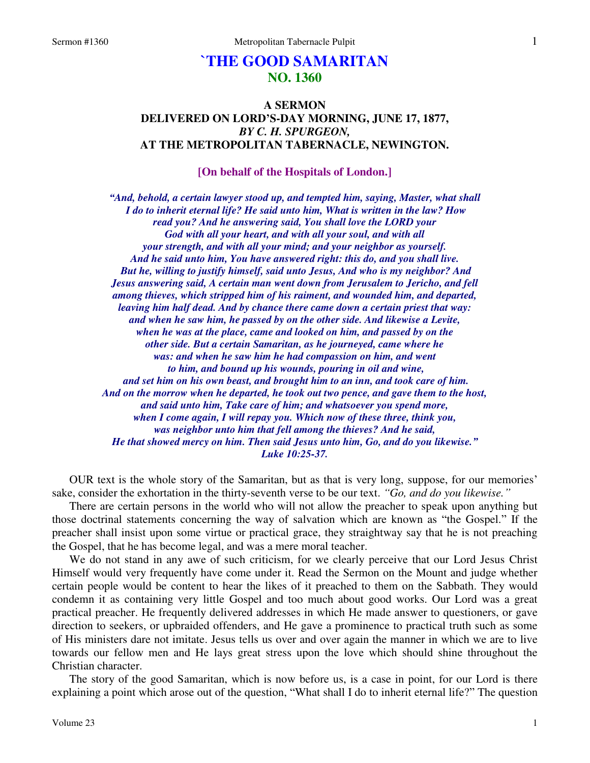# **`THE GOOD SAMARITAN NO. 1360**

### **A SERMON DELIVERED ON LORD'S-DAY MORNING, JUNE 17, 1877,**  *BY C. H. SPURGEON,*  **AT THE METROPOLITAN TABERNACLE, NEWINGTON.**

### **[On behalf of the Hospitals of London.]**

*"And, behold, a certain lawyer stood up, and tempted him, saying, Master, what shall I do to inherit eternal life? He said unto him, What is written in the law? How read you? And he answering said, You shall love the LORD your God with all your heart, and with all your soul, and with all your strength, and with all your mind; and your neighbor as yourself. And he said unto him, You have answered right: this do, and you shall live. But he, willing to justify himself, said unto Jesus, And who is my neighbor? And Jesus answering said, A certain man went down from Jerusalem to Jericho, and fell among thieves, which stripped him of his raiment, and wounded him, and departed, leaving him half dead. And by chance there came down a certain priest that way: and when he saw him, he passed by on the other side. And likewise a Levite, when he was at the place, came and looked on him, and passed by on the other side. But a certain Samaritan, as he journeyed, came where he was: and when he saw him he had compassion on him, and went to him, and bound up his wounds, pouring in oil and wine, and set him on his own beast, and brought him to an inn, and took care of him. And on the morrow when he departed, he took out two pence, and gave them to the host, and said unto him, Take care of him; and whatsoever you spend more, when I come again, I will repay you. Which now of these three, think you, was neighbor unto him that fell among the thieves? And he said, He that showed mercy on him. Then said Jesus unto him, Go, and do you likewise." Luke 10:25-37.* 

OUR text is the whole story of the Samaritan, but as that is very long, suppose, for our memories' sake, consider the exhortation in the thirty-seventh verse to be our text. *"Go, and do you likewise."*

There are certain persons in the world who will not allow the preacher to speak upon anything but those doctrinal statements concerning the way of salvation which are known as "the Gospel." If the preacher shall insist upon some virtue or practical grace, they straightway say that he is not preaching the Gospel, that he has become legal, and was a mere moral teacher.

We do not stand in any awe of such criticism, for we clearly perceive that our Lord Jesus Christ Himself would very frequently have come under it. Read the Sermon on the Mount and judge whether certain people would be content to hear the likes of it preached to them on the Sabbath. They would condemn it as containing very little Gospel and too much about good works. Our Lord was a great practical preacher. He frequently delivered addresses in which He made answer to questioners, or gave direction to seekers, or upbraided offenders, and He gave a prominence to practical truth such as some of His ministers dare not imitate. Jesus tells us over and over again the manner in which we are to live towards our fellow men and He lays great stress upon the love which should shine throughout the Christian character.

The story of the good Samaritan, which is now before us, is a case in point, for our Lord is there explaining a point which arose out of the question, "What shall I do to inherit eternal life?" The question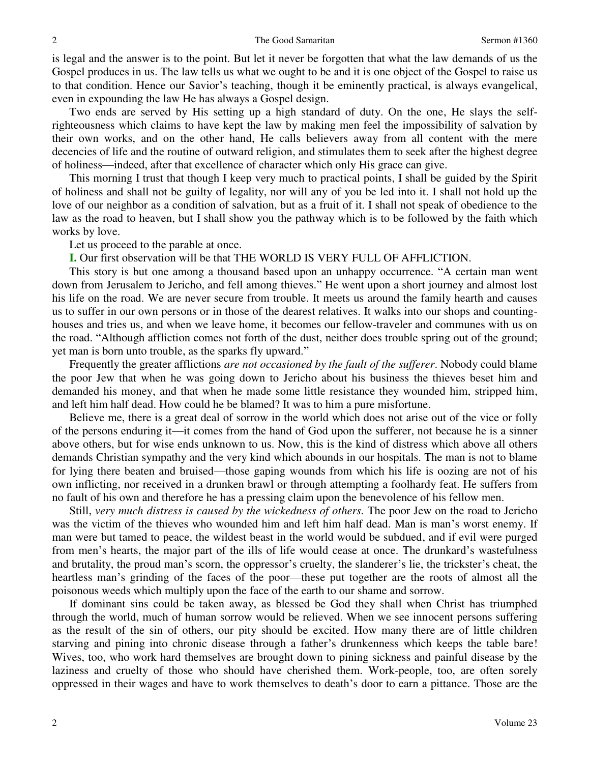is legal and the answer is to the point. But let it never be forgotten that what the law demands of us the Gospel produces in us. The law tells us what we ought to be and it is one object of the Gospel to raise us to that condition. Hence our Savior's teaching, though it be eminently practical, is always evangelical, even in expounding the law He has always a Gospel design.

Two ends are served by His setting up a high standard of duty. On the one, He slays the selfrighteousness which claims to have kept the law by making men feel the impossibility of salvation by their own works, and on the other hand, He calls believers away from all content with the mere decencies of life and the routine of outward religion, and stimulates them to seek after the highest degree of holiness—indeed, after that excellence of character which only His grace can give.

This morning I trust that though I keep very much to practical points, I shall be guided by the Spirit of holiness and shall not be guilty of legality, nor will any of you be led into it. I shall not hold up the love of our neighbor as a condition of salvation, but as a fruit of it. I shall not speak of obedience to the law as the road to heaven, but I shall show you the pathway which is to be followed by the faith which works by love.

Let us proceed to the parable at once.

**I.** Our first observation will be that THE WORLD IS VERY FULL OF AFFLICTION.

This story is but one among a thousand based upon an unhappy occurrence. "A certain man went down from Jerusalem to Jericho, and fell among thieves." He went upon a short journey and almost lost his life on the road. We are never secure from trouble. It meets us around the family hearth and causes us to suffer in our own persons or in those of the dearest relatives. It walks into our shops and countinghouses and tries us, and when we leave home, it becomes our fellow-traveler and communes with us on the road. "Although affliction comes not forth of the dust, neither does trouble spring out of the ground; yet man is born unto trouble, as the sparks fly upward."

Frequently the greater afflictions *are not occasioned by the fault of the sufferer*. Nobody could blame the poor Jew that when he was going down to Jericho about his business the thieves beset him and demanded his money, and that when he made some little resistance they wounded him, stripped him, and left him half dead. How could he be blamed? It was to him a pure misfortune.

Believe me, there is a great deal of sorrow in the world which does not arise out of the vice or folly of the persons enduring it—it comes from the hand of God upon the sufferer, not because he is a sinner above others, but for wise ends unknown to us. Now, this is the kind of distress which above all others demands Christian sympathy and the very kind which abounds in our hospitals. The man is not to blame for lying there beaten and bruised—those gaping wounds from which his life is oozing are not of his own inflicting, nor received in a drunken brawl or through attempting a foolhardy feat. He suffers from no fault of his own and therefore he has a pressing claim upon the benevolence of his fellow men.

Still, *very much distress is caused by the wickedness of others.* The poor Jew on the road to Jericho was the victim of the thieves who wounded him and left him half dead. Man is man's worst enemy. If man were but tamed to peace, the wildest beast in the world would be subdued, and if evil were purged from men's hearts, the major part of the ills of life would cease at once. The drunkard's wastefulness and brutality, the proud man's scorn, the oppressor's cruelty, the slanderer's lie, the trickster's cheat, the heartless man's grinding of the faces of the poor—these put together are the roots of almost all the poisonous weeds which multiply upon the face of the earth to our shame and sorrow.

If dominant sins could be taken away, as blessed be God they shall when Christ has triumphed through the world, much of human sorrow would be relieved. When we see innocent persons suffering as the result of the sin of others, our pity should be excited. How many there are of little children starving and pining into chronic disease through a father's drunkenness which keeps the table bare! Wives, too, who work hard themselves are brought down to pining sickness and painful disease by the laziness and cruelty of those who should have cherished them. Work-people, too, are often sorely oppressed in their wages and have to work themselves to death's door to earn a pittance. Those are the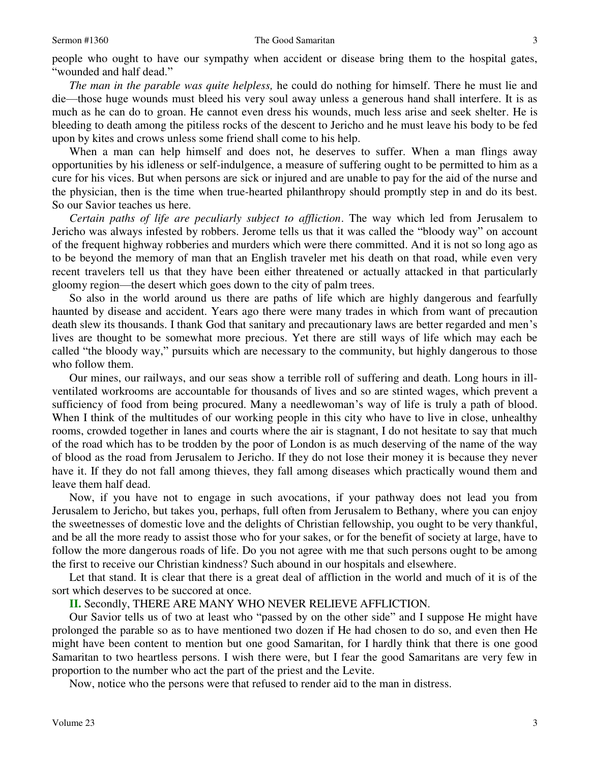people who ought to have our sympathy when accident or disease bring them to the hospital gates, "wounded and half dead."

*The man in the parable was quite helpless,* he could do nothing for himself. There he must lie and die—those huge wounds must bleed his very soul away unless a generous hand shall interfere. It is as much as he can do to groan. He cannot even dress his wounds, much less arise and seek shelter. He is bleeding to death among the pitiless rocks of the descent to Jericho and he must leave his body to be fed upon by kites and crows unless some friend shall come to his help.

When a man can help himself and does not, he deserves to suffer. When a man flings away opportunities by his idleness or self-indulgence, a measure of suffering ought to be permitted to him as a cure for his vices. But when persons are sick or injured and are unable to pay for the aid of the nurse and the physician, then is the time when true-hearted philanthropy should promptly step in and do its best. So our Savior teaches us here.

*Certain paths of life are peculiarly subject to affliction*. The way which led from Jerusalem to Jericho was always infested by robbers. Jerome tells us that it was called the "bloody way" on account of the frequent highway robberies and murders which were there committed. And it is not so long ago as to be beyond the memory of man that an English traveler met his death on that road, while even very recent travelers tell us that they have been either threatened or actually attacked in that particularly gloomy region—the desert which goes down to the city of palm trees.

So also in the world around us there are paths of life which are highly dangerous and fearfully haunted by disease and accident. Years ago there were many trades in which from want of precaution death slew its thousands. I thank God that sanitary and precautionary laws are better regarded and men's lives are thought to be somewhat more precious. Yet there are still ways of life which may each be called "the bloody way," pursuits which are necessary to the community, but highly dangerous to those who follow them.

Our mines, our railways, and our seas show a terrible roll of suffering and death. Long hours in illventilated workrooms are accountable for thousands of lives and so are stinted wages, which prevent a sufficiency of food from being procured. Many a needlewoman's way of life is truly a path of blood. When I think of the multitudes of our working people in this city who have to live in close, unhealthy rooms, crowded together in lanes and courts where the air is stagnant, I do not hesitate to say that much of the road which has to be trodden by the poor of London is as much deserving of the name of the way of blood as the road from Jerusalem to Jericho. If they do not lose their money it is because they never have it. If they do not fall among thieves, they fall among diseases which practically wound them and leave them half dead.

Now, if you have not to engage in such avocations, if your pathway does not lead you from Jerusalem to Jericho, but takes you, perhaps, full often from Jerusalem to Bethany, where you can enjoy the sweetnesses of domestic love and the delights of Christian fellowship, you ought to be very thankful, and be all the more ready to assist those who for your sakes, or for the benefit of society at large, have to follow the more dangerous roads of life. Do you not agree with me that such persons ought to be among the first to receive our Christian kindness? Such abound in our hospitals and elsewhere.

Let that stand. It is clear that there is a great deal of affliction in the world and much of it is of the sort which deserves to be succored at once.

**II.** Secondly, THERE ARE MANY WHO NEVER RELIEVE AFFLICTION.

Our Savior tells us of two at least who "passed by on the other side" and I suppose He might have prolonged the parable so as to have mentioned two dozen if He had chosen to do so, and even then He might have been content to mention but one good Samaritan, for I hardly think that there is one good Samaritan to two heartless persons. I wish there were, but I fear the good Samaritans are very few in proportion to the number who act the part of the priest and the Levite.

Now, notice who the persons were that refused to render aid to the man in distress.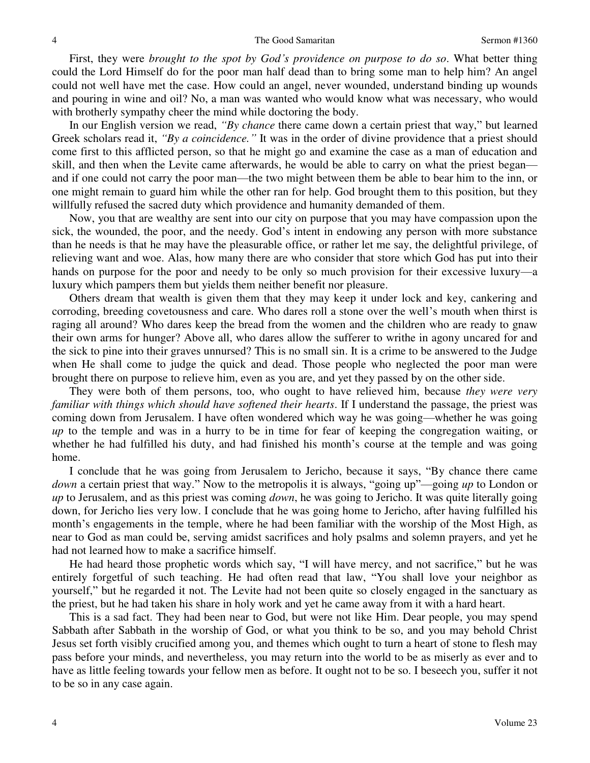First, they were *brought to the spot by God's providence on purpose to do so*. What better thing could the Lord Himself do for the poor man half dead than to bring some man to help him? An angel could not well have met the case. How could an angel, never wounded, understand binding up wounds and pouring in wine and oil? No, a man was wanted who would know what was necessary, who would with brotherly sympathy cheer the mind while doctoring the body.

In our English version we read, *"By chance* there came down a certain priest that way," but learned Greek scholars read it, *"By a coincidence."* It was in the order of divine providence that a priest should come first to this afflicted person, so that he might go and examine the case as a man of education and skill, and then when the Levite came afterwards, he would be able to carry on what the priest began and if one could not carry the poor man—the two might between them be able to bear him to the inn, or one might remain to guard him while the other ran for help. God brought them to this position, but they willfully refused the sacred duty which providence and humanity demanded of them.

Now, you that are wealthy are sent into our city on purpose that you may have compassion upon the sick, the wounded, the poor, and the needy. God's intent in endowing any person with more substance than he needs is that he may have the pleasurable office, or rather let me say, the delightful privilege, of relieving want and woe. Alas, how many there are who consider that store which God has put into their hands on purpose for the poor and needy to be only so much provision for their excessive luxury—a luxury which pampers them but yields them neither benefit nor pleasure.

Others dream that wealth is given them that they may keep it under lock and key, cankering and corroding, breeding covetousness and care. Who dares roll a stone over the well's mouth when thirst is raging all around? Who dares keep the bread from the women and the children who are ready to gnaw their own arms for hunger? Above all, who dares allow the sufferer to writhe in agony uncared for and the sick to pine into their graves unnursed? This is no small sin. It is a crime to be answered to the Judge when He shall come to judge the quick and dead. Those people who neglected the poor man were brought there on purpose to relieve him, even as you are, and yet they passed by on the other side.

They were both of them persons, too, who ought to have relieved him, because *they were very familiar with things which should have softened their hearts*. If I understand the passage, the priest was coming down from Jerusalem. I have often wondered which way he was going—whether he was going *up* to the temple and was in a hurry to be in time for fear of keeping the congregation waiting, or whether he had fulfilled his duty, and had finished his month's course at the temple and was going home.

I conclude that he was going from Jerusalem to Jericho, because it says, "By chance there came *down* a certain priest that way." Now to the metropolis it is always, "going up"—going *up* to London or *up* to Jerusalem, and as this priest was coming *down*, he was going to Jericho. It was quite literally going down, for Jericho lies very low. I conclude that he was going home to Jericho, after having fulfilled his month's engagements in the temple, where he had been familiar with the worship of the Most High, as near to God as man could be, serving amidst sacrifices and holy psalms and solemn prayers, and yet he had not learned how to make a sacrifice himself.

He had heard those prophetic words which say, "I will have mercy, and not sacrifice," but he was entirely forgetful of such teaching. He had often read that law, "You shall love your neighbor as yourself," but he regarded it not. The Levite had not been quite so closely engaged in the sanctuary as the priest, but he had taken his share in holy work and yet he came away from it with a hard heart.

This is a sad fact. They had been near to God, but were not like Him. Dear people, you may spend Sabbath after Sabbath in the worship of God, or what you think to be so, and you may behold Christ Jesus set forth visibly crucified among you, and themes which ought to turn a heart of stone to flesh may pass before your minds, and nevertheless, you may return into the world to be as miserly as ever and to have as little feeling towards your fellow men as before. It ought not to be so. I beseech you, suffer it not to be so in any case again.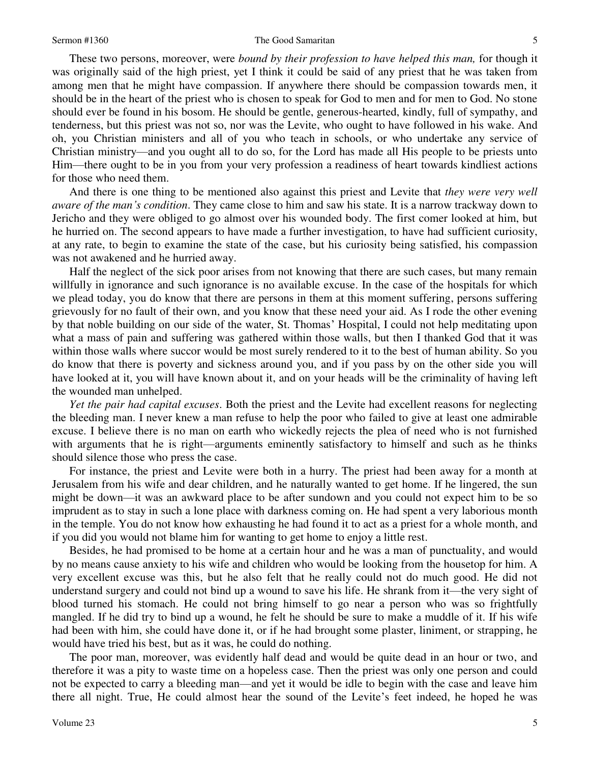#### Sermon #1360 The Good Samaritan

These two persons, moreover, were *bound by their profession to have helped this man,* for though it was originally said of the high priest, yet I think it could be said of any priest that he was taken from among men that he might have compassion. If anywhere there should be compassion towards men, it should be in the heart of the priest who is chosen to speak for God to men and for men to God. No stone should ever be found in his bosom. He should be gentle, generous-hearted, kindly, full of sympathy, and tenderness, but this priest was not so, nor was the Levite, who ought to have followed in his wake. And oh, you Christian ministers and all of you who teach in schools, or who undertake any service of Christian ministry—and you ought all to do so, for the Lord has made all His people to be priests unto Him—there ought to be in you from your very profession a readiness of heart towards kindliest actions for those who need them.

And there is one thing to be mentioned also against this priest and Levite that *they were very well aware of the man's condition*. They came close to him and saw his state. It is a narrow trackway down to Jericho and they were obliged to go almost over his wounded body. The first comer looked at him, but he hurried on. The second appears to have made a further investigation, to have had sufficient curiosity, at any rate, to begin to examine the state of the case, but his curiosity being satisfied, his compassion was not awakened and he hurried away.

Half the neglect of the sick poor arises from not knowing that there are such cases, but many remain willfully in ignorance and such ignorance is no available excuse. In the case of the hospitals for which we plead today, you do know that there are persons in them at this moment suffering, persons suffering grievously for no fault of their own, and you know that these need your aid. As I rode the other evening by that noble building on our side of the water, St. Thomas' Hospital, I could not help meditating upon what a mass of pain and suffering was gathered within those walls, but then I thanked God that it was within those walls where succor would be most surely rendered to it to the best of human ability. So you do know that there is poverty and sickness around you, and if you pass by on the other side you will have looked at it, you will have known about it, and on your heads will be the criminality of having left the wounded man unhelped.

*Yet the pair had capital excuses*. Both the priest and the Levite had excellent reasons for neglecting the bleeding man. I never knew a man refuse to help the poor who failed to give at least one admirable excuse. I believe there is no man on earth who wickedly rejects the plea of need who is not furnished with arguments that he is right—arguments eminently satisfactory to himself and such as he thinks should silence those who press the case.

For instance, the priest and Levite were both in a hurry. The priest had been away for a month at Jerusalem from his wife and dear children, and he naturally wanted to get home. If he lingered, the sun might be down—it was an awkward place to be after sundown and you could not expect him to be so imprudent as to stay in such a lone place with darkness coming on. He had spent a very laborious month in the temple. You do not know how exhausting he had found it to act as a priest for a whole month, and if you did you would not blame him for wanting to get home to enjoy a little rest.

Besides, he had promised to be home at a certain hour and he was a man of punctuality, and would by no means cause anxiety to his wife and children who would be looking from the housetop for him. A very excellent excuse was this, but he also felt that he really could not do much good. He did not understand surgery and could not bind up a wound to save his life. He shrank from it—the very sight of blood turned his stomach. He could not bring himself to go near a person who was so frightfully mangled. If he did try to bind up a wound, he felt he should be sure to make a muddle of it. If his wife had been with him, she could have done it, or if he had brought some plaster, liniment, or strapping, he would have tried his best, but as it was, he could do nothing.

The poor man, moreover, was evidently half dead and would be quite dead in an hour or two, and therefore it was a pity to waste time on a hopeless case. Then the priest was only one person and could not be expected to carry a bleeding man—and yet it would be idle to begin with the case and leave him there all night. True, He could almost hear the sound of the Levite's feet indeed, he hoped he was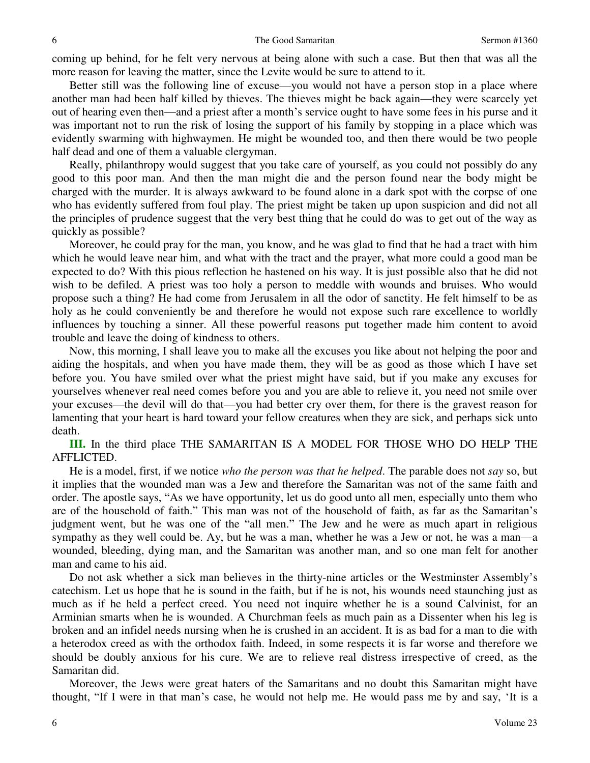coming up behind, for he felt very nervous at being alone with such a case. But then that was all the more reason for leaving the matter, since the Levite would be sure to attend to it.

Better still was the following line of excuse—you would not have a person stop in a place where another man had been half killed by thieves. The thieves might be back again—they were scarcely yet out of hearing even then—and a priest after a month's service ought to have some fees in his purse and it was important not to run the risk of losing the support of his family by stopping in a place which was evidently swarming with highwaymen. He might be wounded too, and then there would be two people half dead and one of them a valuable clergyman.

Really, philanthropy would suggest that you take care of yourself, as you could not possibly do any good to this poor man. And then the man might die and the person found near the body might be charged with the murder. It is always awkward to be found alone in a dark spot with the corpse of one who has evidently suffered from foul play. The priest might be taken up upon suspicion and did not all the principles of prudence suggest that the very best thing that he could do was to get out of the way as quickly as possible?

Moreover, he could pray for the man, you know, and he was glad to find that he had a tract with him which he would leave near him, and what with the tract and the prayer, what more could a good man be expected to do? With this pious reflection he hastened on his way. It is just possible also that he did not wish to be defiled. A priest was too holy a person to meddle with wounds and bruises. Who would propose such a thing? He had come from Jerusalem in all the odor of sanctity. He felt himself to be as holy as he could conveniently be and therefore he would not expose such rare excellence to worldly influences by touching a sinner. All these powerful reasons put together made him content to avoid trouble and leave the doing of kindness to others.

Now, this morning, I shall leave you to make all the excuses you like about not helping the poor and aiding the hospitals, and when you have made them, they will be as good as those which I have set before you. You have smiled over what the priest might have said, but if you make any excuses for yourselves whenever real need comes before you and you are able to relieve it, you need not smile over your excuses—the devil will do that—you had better cry over them, for there is the gravest reason for lamenting that your heart is hard toward your fellow creatures when they are sick, and perhaps sick unto death.

**III.** In the third place THE SAMARITAN IS A MODEL FOR THOSE WHO DO HELP THE AFFLICTED.

He is a model, first, if we notice *who the person was that he helped*. The parable does not *say* so, but it implies that the wounded man was a Jew and therefore the Samaritan was not of the same faith and order. The apostle says, "As we have opportunity, let us do good unto all men, especially unto them who are of the household of faith." This man was not of the household of faith, as far as the Samaritan's judgment went, but he was one of the "all men." The Jew and he were as much apart in religious sympathy as they well could be. Ay, but he was a man, whether he was a Jew or not, he was a man—a wounded, bleeding, dying man, and the Samaritan was another man, and so one man felt for another man and came to his aid.

Do not ask whether a sick man believes in the thirty-nine articles or the Westminster Assembly's catechism. Let us hope that he is sound in the faith, but if he is not, his wounds need staunching just as much as if he held a perfect creed. You need not inquire whether he is a sound Calvinist, for an Arminian smarts when he is wounded. A Churchman feels as much pain as a Dissenter when his leg is broken and an infidel needs nursing when he is crushed in an accident. It is as bad for a man to die with a heterodox creed as with the orthodox faith. Indeed, in some respects it is far worse and therefore we should be doubly anxious for his cure. We are to relieve real distress irrespective of creed, as the Samaritan did.

Moreover, the Jews were great haters of the Samaritans and no doubt this Samaritan might have thought, "If I were in that man's case, he would not help me. He would pass me by and say, 'It is a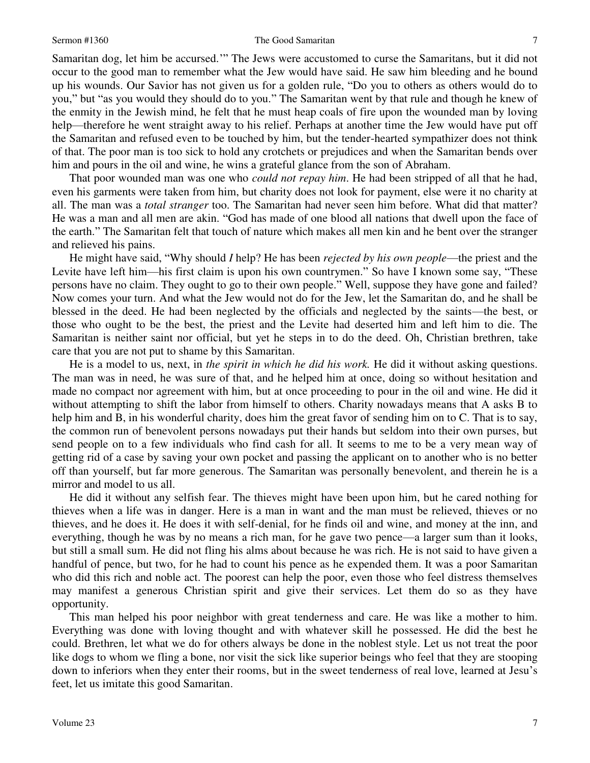Samaritan dog, let him be accursed.'" The Jews were accustomed to curse the Samaritans, but it did not occur to the good man to remember what the Jew would have said. He saw him bleeding and he bound up his wounds. Our Savior has not given us for a golden rule, "Do you to others as others would do to you," but "as you would they should do to you." The Samaritan went by that rule and though he knew of the enmity in the Jewish mind, he felt that he must heap coals of fire upon the wounded man by loving help—therefore he went straight away to his relief. Perhaps at another time the Jew would have put off the Samaritan and refused even to be touched by him, but the tender-hearted sympathizer does not think of that. The poor man is too sick to hold any crotchets or prejudices and when the Samaritan bends over him and pours in the oil and wine, he wins a grateful glance from the son of Abraham.

That poor wounded man was one who *could not repay him*. He had been stripped of all that he had, even his garments were taken from him, but charity does not look for payment, else were it no charity at all. The man was a *total stranger* too. The Samaritan had never seen him before. What did that matter? He was a man and all men are akin. "God has made of one blood all nations that dwell upon the face of the earth." The Samaritan felt that touch of nature which makes all men kin and he bent over the stranger and relieved his pains.

He might have said, "Why should *I* help? He has been *rejected by his own people*—the priest and the Levite have left him—his first claim is upon his own countrymen." So have I known some say, "These persons have no claim. They ought to go to their own people." Well, suppose they have gone and failed? Now comes your turn. And what the Jew would not do for the Jew, let the Samaritan do, and he shall be blessed in the deed. He had been neglected by the officials and neglected by the saints—the best, or those who ought to be the best, the priest and the Levite had deserted him and left him to die. The Samaritan is neither saint nor official, but yet he steps in to do the deed. Oh, Christian brethren, take care that you are not put to shame by this Samaritan.

He is a model to us, next, in *the spirit in which he did his work.* He did it without asking questions. The man was in need, he was sure of that, and he helped him at once, doing so without hesitation and made no compact nor agreement with him, but at once proceeding to pour in the oil and wine. He did it without attempting to shift the labor from himself to others. Charity nowadays means that A asks B to help him and B, in his wonderful charity, does him the great favor of sending him on to C. That is to say, the common run of benevolent persons nowadays put their hands but seldom into their own purses, but send people on to a few individuals who find cash for all. It seems to me to be a very mean way of getting rid of a case by saving your own pocket and passing the applicant on to another who is no better off than yourself, but far more generous. The Samaritan was personally benevolent, and therein he is a mirror and model to us all.

He did it without any selfish fear. The thieves might have been upon him, but he cared nothing for thieves when a life was in danger. Here is a man in want and the man must be relieved, thieves or no thieves, and he does it. He does it with self-denial, for he finds oil and wine, and money at the inn, and everything, though he was by no means a rich man, for he gave two pence—a larger sum than it looks, but still a small sum. He did not fling his alms about because he was rich. He is not said to have given a handful of pence, but two, for he had to count his pence as he expended them. It was a poor Samaritan who did this rich and noble act. The poorest can help the poor, even those who feel distress themselves may manifest a generous Christian spirit and give their services. Let them do so as they have opportunity.

This man helped his poor neighbor with great tenderness and care. He was like a mother to him. Everything was done with loving thought and with whatever skill he possessed. He did the best he could. Brethren, let what we do for others always be done in the noblest style. Let us not treat the poor like dogs to whom we fling a bone, nor visit the sick like superior beings who feel that they are stooping down to inferiors when they enter their rooms, but in the sweet tenderness of real love, learned at Jesu's feet, let us imitate this good Samaritan.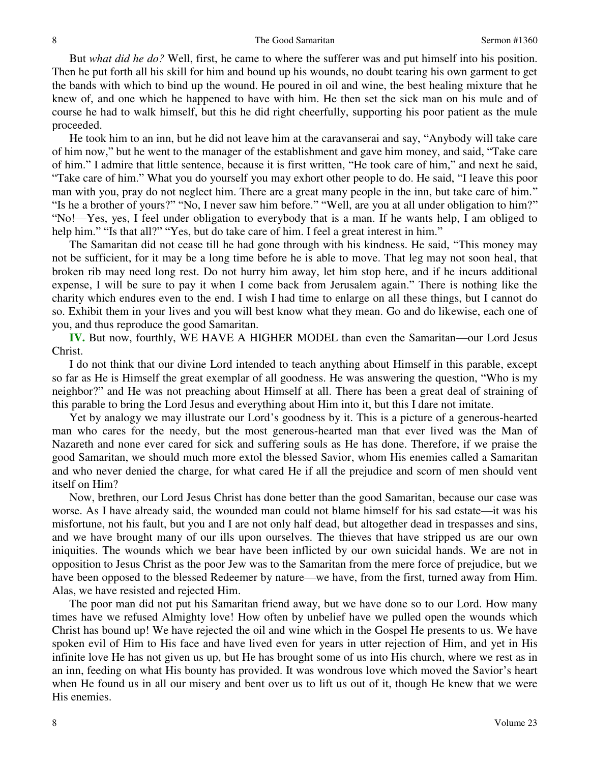But *what did he do?* Well, first, he came to where the sufferer was and put himself into his position. Then he put forth all his skill for him and bound up his wounds, no doubt tearing his own garment to get the bands with which to bind up the wound. He poured in oil and wine, the best healing mixture that he knew of, and one which he happened to have with him. He then set the sick man on his mule and of course he had to walk himself, but this he did right cheerfully, supporting his poor patient as the mule proceeded.

He took him to an inn, but he did not leave him at the caravanserai and say, "Anybody will take care of him now," but he went to the manager of the establishment and gave him money, and said, "Take care of him." I admire that little sentence, because it is first written, "He took care of him," and next he said, "Take care of him." What you do yourself you may exhort other people to do. He said, "I leave this poor man with you, pray do not neglect him. There are a great many people in the inn, but take care of him." "Is he a brother of yours?" "No, I never saw him before." "Well, are you at all under obligation to him?" "No!—Yes, yes, I feel under obligation to everybody that is a man. If he wants help, I am obliged to help him." "Is that all?" "Yes, but do take care of him. I feel a great interest in him."

The Samaritan did not cease till he had gone through with his kindness. He said, "This money may not be sufficient, for it may be a long time before he is able to move. That leg may not soon heal, that broken rib may need long rest. Do not hurry him away, let him stop here, and if he incurs additional expense, I will be sure to pay it when I come back from Jerusalem again." There is nothing like the charity which endures even to the end. I wish I had time to enlarge on all these things, but I cannot do so. Exhibit them in your lives and you will best know what they mean. Go and do likewise, each one of you, and thus reproduce the good Samaritan.

**IV.** But now, fourthly, WE HAVE A HIGHER MODEL than even the Samaritan—our Lord Jesus Christ.

I do not think that our divine Lord intended to teach anything about Himself in this parable, except so far as He is Himself the great exemplar of all goodness. He was answering the question, "Who is my neighbor?" and He was not preaching about Himself at all. There has been a great deal of straining of this parable to bring the Lord Jesus and everything about Him into it, but this I dare not imitate.

Yet by analogy we may illustrate our Lord's goodness by it. This is a picture of a generous-hearted man who cares for the needy, but the most generous-hearted man that ever lived was the Man of Nazareth and none ever cared for sick and suffering souls as He has done. Therefore, if we praise the good Samaritan, we should much more extol the blessed Savior, whom His enemies called a Samaritan and who never denied the charge, for what cared He if all the prejudice and scorn of men should vent itself on Him?

Now, brethren, our Lord Jesus Christ has done better than the good Samaritan, because our case was worse. As I have already said, the wounded man could not blame himself for his sad estate—it was his misfortune, not his fault, but you and I are not only half dead, but altogether dead in trespasses and sins, and we have brought many of our ills upon ourselves. The thieves that have stripped us are our own iniquities. The wounds which we bear have been inflicted by our own suicidal hands. We are not in opposition to Jesus Christ as the poor Jew was to the Samaritan from the mere force of prejudice, but we have been opposed to the blessed Redeemer by nature—we have, from the first, turned away from Him. Alas, we have resisted and rejected Him.

The poor man did not put his Samaritan friend away, but we have done so to our Lord. How many times have we refused Almighty love! How often by unbelief have we pulled open the wounds which Christ has bound up! We have rejected the oil and wine which in the Gospel He presents to us. We have spoken evil of Him to His face and have lived even for years in utter rejection of Him, and yet in His infinite love He has not given us up, but He has brought some of us into His church, where we rest as in an inn, feeding on what His bounty has provided. It was wondrous love which moved the Savior's heart when He found us in all our misery and bent over us to lift us out of it, though He knew that we were His enemies.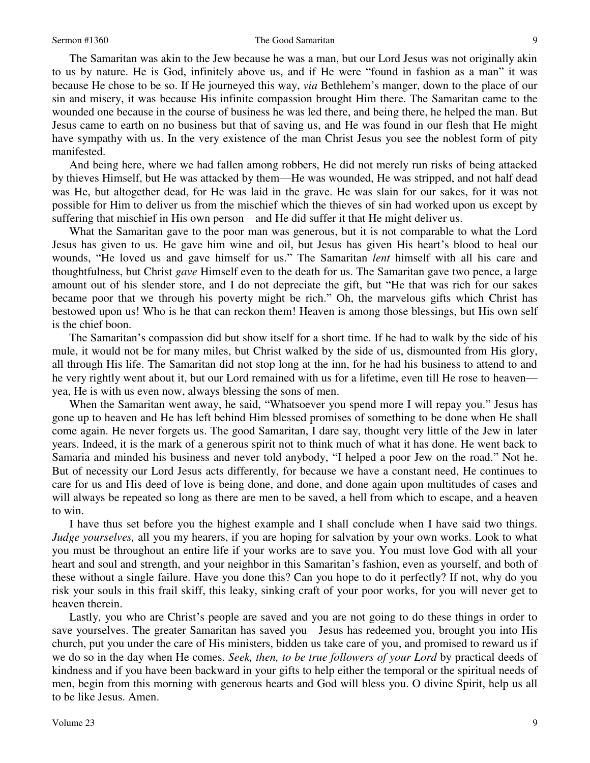#### Sermon #1360 The Good Samaritan

The Samaritan was akin to the Jew because he was a man, but our Lord Jesus was not originally akin to us by nature. He is God, infinitely above us, and if He were "found in fashion as a man" it was because He chose to be so. If He journeyed this way, *via* Bethlehem's manger, down to the place of our sin and misery, it was because His infinite compassion brought Him there. The Samaritan came to the wounded one because in the course of business he was led there, and being there, he helped the man. But Jesus came to earth on no business but that of saving us, and He was found in our flesh that He might have sympathy with us. In the very existence of the man Christ Jesus you see the noblest form of pity manifested.

And being here, where we had fallen among robbers, He did not merely run risks of being attacked by thieves Himself, but He was attacked by them—He was wounded, He was stripped, and not half dead was He, but altogether dead, for He was laid in the grave. He was slain for our sakes, for it was not possible for Him to deliver us from the mischief which the thieves of sin had worked upon us except by suffering that mischief in His own person—and He did suffer it that He might deliver us.

What the Samaritan gave to the poor man was generous, but it is not comparable to what the Lord Jesus has given to us. He gave him wine and oil, but Jesus has given His heart's blood to heal our wounds, "He loved us and gave himself for us." The Samaritan *lent* himself with all his care and thoughtfulness, but Christ *gave* Himself even to the death for us. The Samaritan gave two pence, a large amount out of his slender store, and I do not depreciate the gift, but "He that was rich for our sakes became poor that we through his poverty might be rich." Oh, the marvelous gifts which Christ has bestowed upon us! Who is he that can reckon them! Heaven is among those blessings, but His own self is the chief boon.

The Samaritan's compassion did but show itself for a short time. If he had to walk by the side of his mule, it would not be for many miles, but Christ walked by the side of us, dismounted from His glory, all through His life. The Samaritan did not stop long at the inn, for he had his business to attend to and he very rightly went about it, but our Lord remained with us for a lifetime, even till He rose to heaven yea, He is with us even now, always blessing the sons of men.

When the Samaritan went away, he said, "Whatsoever you spend more I will repay you." Jesus has gone up to heaven and He has left behind Him blessed promises of something to be done when He shall come again. He never forgets us. The good Samaritan, I dare say, thought very little of the Jew in later years. Indeed, it is the mark of a generous spirit not to think much of what it has done. He went back to Samaria and minded his business and never told anybody, "I helped a poor Jew on the road." Not he. But of necessity our Lord Jesus acts differently, for because we have a constant need, He continues to care for us and His deed of love is being done, and done, and done again upon multitudes of cases and will always be repeated so long as there are men to be saved, a hell from which to escape, and a heaven to win.

I have thus set before you the highest example and I shall conclude when I have said two things. *Judge yourselves*, all you my hearers, if you are hoping for salvation by your own works. Look to what you must be throughout an entire life if your works are to save you. You must love God with all your heart and soul and strength, and your neighbor in this Samaritan's fashion, even as yourself, and both of these without a single failure. Have you done this? Can you hope to do it perfectly? If not, why do you risk your souls in this frail skiff, this leaky, sinking craft of your poor works, for you will never get to heaven therein.

Lastly, you who are Christ's people are saved and you are not going to do these things in order to save yourselves. The greater Samaritan has saved you—Jesus has redeemed you, brought you into His church, put you under the care of His ministers, bidden us take care of you, and promised to reward us if we do so in the day when He comes. *Seek, then, to be true followers of your Lord* by practical deeds of kindness and if you have been backward in your gifts to help either the temporal or the spiritual needs of men, begin from this morning with generous hearts and God will bless you. O divine Spirit, help us all to be like Jesus. Amen.